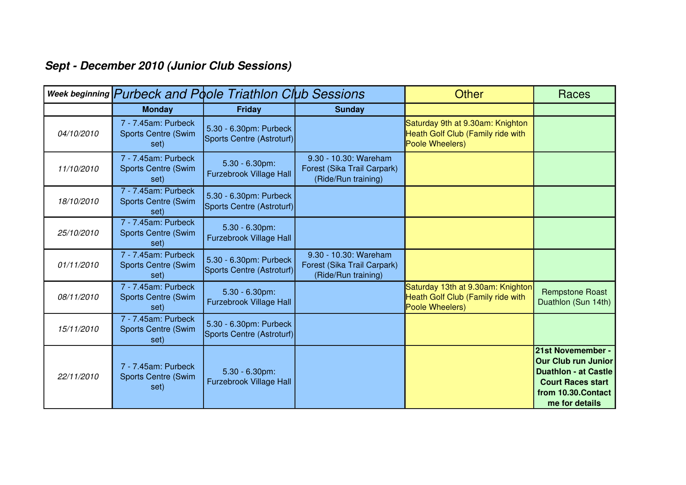## *Sept December 2010 (Junior Club Sessions)*

|            |                                                           | Week beginning Purbeck and Poole Triathlon Club Sessions |                                                                             | <b>Other</b>                                                                              | Races                                                                                                                                              |
|------------|-----------------------------------------------------------|----------------------------------------------------------|-----------------------------------------------------------------------------|-------------------------------------------------------------------------------------------|----------------------------------------------------------------------------------------------------------------------------------------------------|
|            | <b>Monday</b>                                             | <b>Friday</b>                                            | <b>Sunday</b>                                                               |                                                                                           |                                                                                                                                                    |
| 04/10/2010 | 7 - 7.45am: Purbeck<br><b>Sports Centre (Swim</b><br>set) | 5.30 - 6.30pm: Purbeck<br>Sports Centre (Astroturf)      |                                                                             | Saturday 9th at 9.30am: Knighton<br>Heath Golf Club (Family ride with<br>Poole Wheelers)  |                                                                                                                                                    |
| 11/10/2010 | 7 - 7.45am: Purbeck<br><b>Sports Centre (Swim</b><br>set) | $5.30 - 6.30$ pm:<br>Furzebrook Village Hall             | 9.30 - 10.30: Wareham<br>Forest (Sika Trail Carpark)<br>(Ride/Run training) |                                                                                           |                                                                                                                                                    |
| 18/10/2010 | 7 - 7.45am: Purbeck<br><b>Sports Centre (Swim</b><br>set) | 5.30 - 6.30pm: Purbeck<br>Sports Centre (Astroturf)      |                                                                             |                                                                                           |                                                                                                                                                    |
| 25/10/2010 | 7 - 7.45am: Purbeck<br><b>Sports Centre (Swim</b><br>set) | $5.30 - 6.30$ pm:<br><b>Furzebrook Village Hall</b>      |                                                                             |                                                                                           |                                                                                                                                                    |
| 01/11/2010 | 7 - 7.45am: Purbeck<br><b>Sports Centre (Swim</b><br>set) | 5.30 - 6.30pm: Purbeck<br>Sports Centre (Astroturf)      | 9.30 - 10.30: Wareham<br>Forest (Sika Trail Carpark)<br>(Ride/Run training) |                                                                                           |                                                                                                                                                    |
| 08/11/2010 | 7 - 7.45am: Purbeck<br><b>Sports Centre (Swim</b><br>set) | $5.30 - 6.30$ pm:<br><b>Furzebrook Village Hall</b>      |                                                                             | Saturday 13th at 9.30am: Knighton<br>Heath Golf Club (Family ride with<br>Poole Wheelers) | <b>Rempstone Roast</b><br>Duathlon (Sun 14th)                                                                                                      |
| 15/11/2010 | 7 - 7.45am: Purbeck<br><b>Sports Centre (Swim</b><br>set) | 5.30 - 6.30pm: Purbeck<br>Sports Centre (Astroturf)      |                                                                             |                                                                                           |                                                                                                                                                    |
| 22/11/2010 | 7 - 7.45am: Purbeck<br><b>Sports Centre (Swim</b><br>set) | $5.30 - 6.30$ pm:<br>Furzebrook Village Hall             |                                                                             |                                                                                           | 21st Novemember -<br><b>Our Club run Junior</b><br><b>Duathlon - at Castle</b><br><b>Court Races start</b><br>from 10.30.Contact<br>me for details |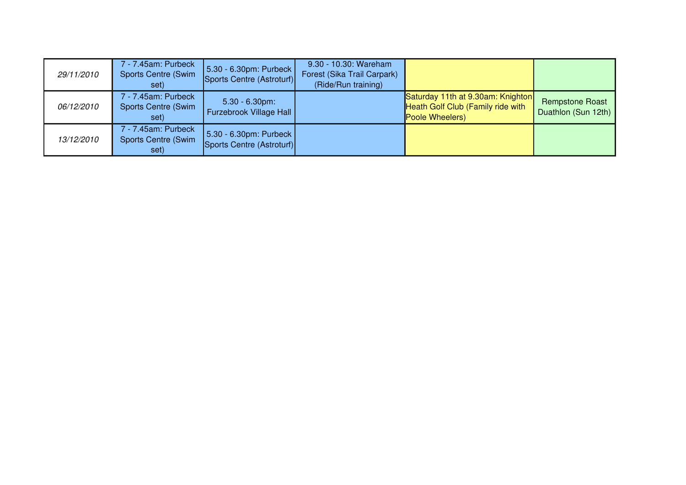| 29/11/2010        | 7 - 7.45am: Purbeck<br><b>Sports Centre (Swim</b><br>set) | 5.30 - 6.30pm: Purbeck<br>Sports Centre (Astroturf) | 9.30 - 10.30: Wareham<br>Forest (Sika Trail Carpark)<br>(Ride/Run training) |                                                                                           |                                        |
|-------------------|-----------------------------------------------------------|-----------------------------------------------------|-----------------------------------------------------------------------------|-------------------------------------------------------------------------------------------|----------------------------------------|
| <i>06/12/2010</i> | 7 - 7.45am: Purbeck<br><b>Sports Centre (Swim</b><br>set) | $5.30 - 6.30$ pm:<br><b>Furzebrook Village Hall</b> |                                                                             | Saturday 11th at 9.30am: Knighton<br>Heath Golf Club (Family ride with<br>Poole Wheelers) | Rempstone Roast<br>Duathlon (Sun 12th) |
| <i>13/12/2010</i> | - 7.45am: Purbeck<br><b>Sports Centre (Swim</b><br>set)   | 5.30 - 6.30pm: Purbeck<br>Sports Centre (Astroturf) |                                                                             |                                                                                           |                                        |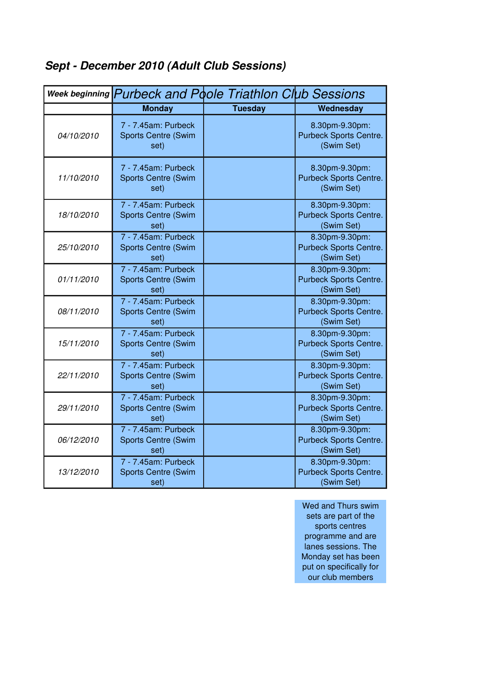## *Sept December 2010 (Adult Club Sessions)*

|                   | Week beginning Purbeck and Poole Triathlon Club Sessions  |                |                                                               |
|-------------------|-----------------------------------------------------------|----------------|---------------------------------------------------------------|
|                   | <b>Monday</b>                                             | <b>Tuesday</b> | Wednesday                                                     |
| <i>04/10/2010</i> | 7 - 7.45am: Purbeck<br><b>Sports Centre (Swim</b><br>set) |                | 8.30pm-9.30pm:<br>Purbeck Sports Centre.<br>(Swim Set)        |
| 11/10/2010        | 7 - 7.45am: Purbeck<br><b>Sports Centre (Swim</b><br>set) |                | 8.30pm-9.30pm:<br>Purbeck Sports Centre.<br>(Swim Set)        |
| 18/10/2010        | 7 - 7.45am: Purbeck<br><b>Sports Centre (Swim</b><br>set) |                | 8.30pm-9.30pm:<br><b>Purbeck Sports Centre.</b><br>(Swim Set) |
| 25/10/2010        | 7 - 7.45am: Purbeck<br><b>Sports Centre (Swim</b><br>set) |                | 8.30pm-9.30pm:<br>Purbeck Sports Centre.<br>(Swim Set)        |
| <i>01/11/2010</i> | 7 - 7.45am: Purbeck<br><b>Sports Centre (Swim</b><br>set) |                | 8.30pm-9.30pm:<br>Purbeck Sports Centre.<br>(Swim Set)        |
| 08/11/2010        | 7 - 7.45am: Purbeck<br><b>Sports Centre (Swim</b><br>set) |                | 8.30pm-9.30pm:<br><b>Purbeck Sports Centre.</b><br>(Swim Set) |
| 15/11/2010        | 7 - 7.45am: Purbeck<br><b>Sports Centre (Swim</b><br>set) |                | 8.30pm-9.30pm:<br>Purbeck Sports Centre.<br>(Swim Set)        |
| 22/11/2010        | 7 - 7.45am: Purbeck<br><b>Sports Centre (Swim</b><br>set) |                | 8.30pm-9.30pm:<br><b>Purbeck Sports Centre.</b><br>(Swim Set) |
| 29/11/2010        | 7 - 7.45am: Purbeck<br><b>Sports Centre (Swim</b><br>set) |                | 8.30pm-9.30pm:<br>Purbeck Sports Centre.<br>(Swim Set)        |
| 06/12/2010        | 7 - 7.45am: Purbeck<br><b>Sports Centre (Swim</b><br>set) |                | 8.30pm-9.30pm:<br>Purbeck Sports Centre.<br>(Swim Set)        |
| 13/12/2010        | 7 - 7.45am: Purbeck<br><b>Sports Centre (Swim</b><br>set) |                | 8.30pm-9.30pm:<br>Purbeck Sports Centre.<br>(Swim Set)        |

Wed and Thurs swim sets are part of the sports centres programme and are lanes sessions. The Monday set has been put on specifically for our club members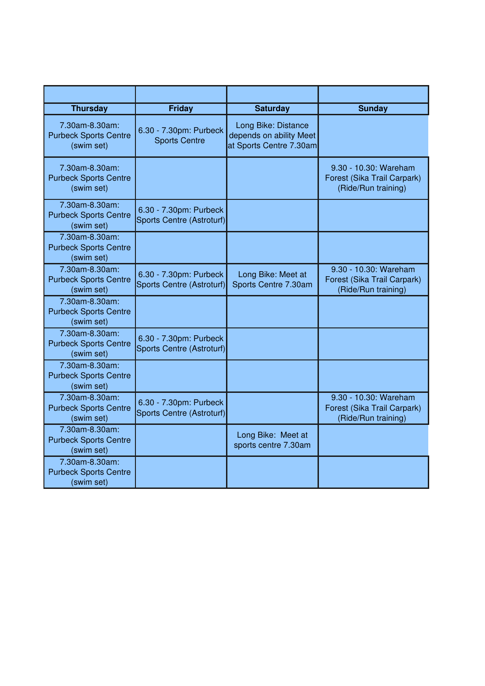| <b>Thursday</b>                                              | <b>Friday</b>                                              | <b>Saturday</b>                                                           | <b>Sunday</b>                                                               |
|--------------------------------------------------------------|------------------------------------------------------------|---------------------------------------------------------------------------|-----------------------------------------------------------------------------|
| 7.30am-8.30am:<br><b>Purbeck Sports Centre</b><br>(swim set) | 6.30 - 7.30pm: Purbeck<br><b>Sports Centre</b>             | Long Bike: Distance<br>depends on ability Meet<br>at Sports Centre 7.30am |                                                                             |
| 7.30am-8.30am:<br><b>Purbeck Sports Centre</b><br>(swim set) |                                                            |                                                                           | 9.30 - 10.30: Wareham<br>Forest (Sika Trail Carpark)<br>(Ride/Run training) |
| 7.30am-8.30am:<br><b>Purbeck Sports Centre</b><br>(swim set) | 6.30 - 7.30pm: Purbeck<br>Sports Centre (Astroturf)        |                                                                           |                                                                             |
| 7.30am-8.30am:<br><b>Purbeck Sports Centre</b><br>(swim set) |                                                            |                                                                           |                                                                             |
| 7.30am-8.30am:<br><b>Purbeck Sports Centre</b><br>(swim set) | 6.30 - 7.30pm: Purbeck<br>Sports Centre (Astroturf)        | Long Bike: Meet at<br>Sports Centre 7.30am                                | 9.30 - 10.30: Wareham<br>Forest (Sika Trail Carpark)<br>(Ride/Run training) |
| 7.30am-8.30am:<br><b>Purbeck Sports Centre</b><br>(swim set) |                                                            |                                                                           |                                                                             |
| 7.30am-8.30am:<br><b>Purbeck Sports Centre</b><br>(swim set) | 6.30 - 7.30pm: Purbeck<br><b>Sports Centre (Astroturf)</b> |                                                                           |                                                                             |
| 7.30am-8.30am:<br><b>Purbeck Sports Centre</b><br>(swim set) |                                                            |                                                                           |                                                                             |
| 7.30am-8.30am:<br><b>Purbeck Sports Centre</b><br>(swim set) | 6.30 - 7.30pm: Purbeck<br>Sports Centre (Astroturf)        |                                                                           | 9.30 - 10.30: Wareham<br>Forest (Sika Trail Carpark)<br>(Ride/Run training) |
| 7.30am-8.30am:<br><b>Purbeck Sports Centre</b><br>(swim set) |                                                            | Long Bike: Meet at<br>sports centre 7.30am                                |                                                                             |
| 7.30am-8.30am:<br><b>Purbeck Sports Centre</b><br>(swim set) |                                                            |                                                                           |                                                                             |